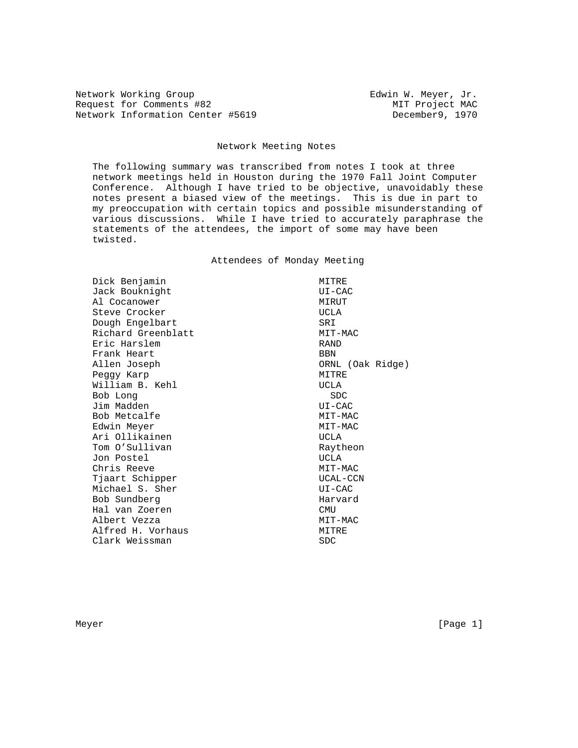Network Working Group **Edwin W. Meyer, Jr. Edwin W. Meyer, Jr.** Request for Comments #82 MIT Project MAC Network Information Center #5619 December9, 1970

## Network Meeting Notes

 The following summary was transcribed from notes I took at three network meetings held in Houston during the 1970 Fall Joint Computer Conference. Although I have tried to be objective, unavoidably these notes present a biased view of the meetings. This is due in part to my preoccupation with certain topics and possible misunderstanding of various discussions. While I have tried to accurately paraphrase the statements of the attendees, the import of some may have been twisted.

Attendees of Monday Meeting

Dick Benjamin MITRE Jack Bouknight Cacher UI-CAC Al Cocanower MIRUT Steve Crocker **UCLA** Dough Engelbart SRI Richard Greenblatt MIT-MAC Eric Harslem RAND Frank Heart **BBN**  Allen Joseph ORNL (Oak Ridge) Peggy Karp<br>William B. Kehl MITRE Milliam B. Kehl William B. Kehl Bob Long SDC Jim Madden UI-CAC Bob Metcalfe MIT-MAC Edwin Meyer MIT-MAC Ari Ollikainen UCLA Tom O'Sullivan and Raytheon Jon Postel UCLA Chris Reeve Tjaart Schipper UCAL-CCN Michael S. Sher Bob Sundberg Harvard Hal van Zoeren CMU Albert Vezza  $MIT-MAC$ Alfred H. Vorhaus MITRE Clark Weissman SDC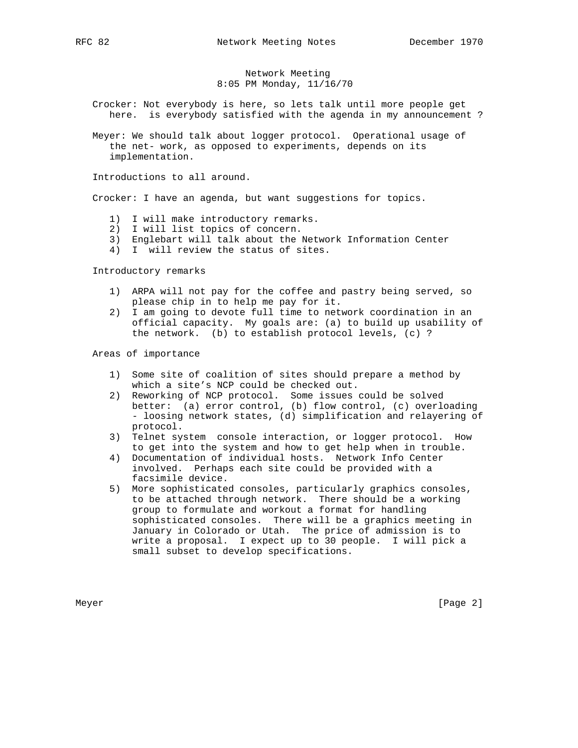## Network Meeting 8:05 PM Monday, 11/16/70

 Crocker: Not everybody is here, so lets talk until more people get here. is everybody satisfied with the agenda in my announcement ?

 Meyer: We should talk about logger protocol. Operational usage of the net- work, as opposed to experiments, depends on its implementation.

Introductions to all around.

Crocker: I have an agenda, but want suggestions for topics.

- 1) I will make introductory remarks.
- 2) I will list topics of concern.
- 3) Englebart will talk about the Network Information Center
- 4) I will review the status of sites.

Introductory remarks

- 1) ARPA will not pay for the coffee and pastry being served, so please chip in to help me pay for it.
- 2) I am going to devote full time to network coordination in an official capacity. My goals are: (a) to build up usability of the network. (b) to establish protocol levels, (c) ?

Areas of importance

- 1) Some site of coalition of sites should prepare a method by which a site's NCP could be checked out.
- 2) Reworking of NCP protocol. Some issues could be solved better: (a) error control, (b) flow control, (c) overloading - loosing network states, (d) simplification and relayering of protocol.
- 3) Telnet system console interaction, or logger protocol. How to get into the system and how to get help when in trouble.
- 4) Documentation of individual hosts. Network Info Center involved. Perhaps each site could be provided with a facsimile device.
- 5) More sophisticated consoles, particularly graphics consoles, to be attached through network. There should be a working group to formulate and workout a format for handling sophisticated consoles. There will be a graphics meeting in January in Colorado or Utah. The price of admission is to write a proposal. I expect up to 30 people. I will pick a small subset to develop specifications.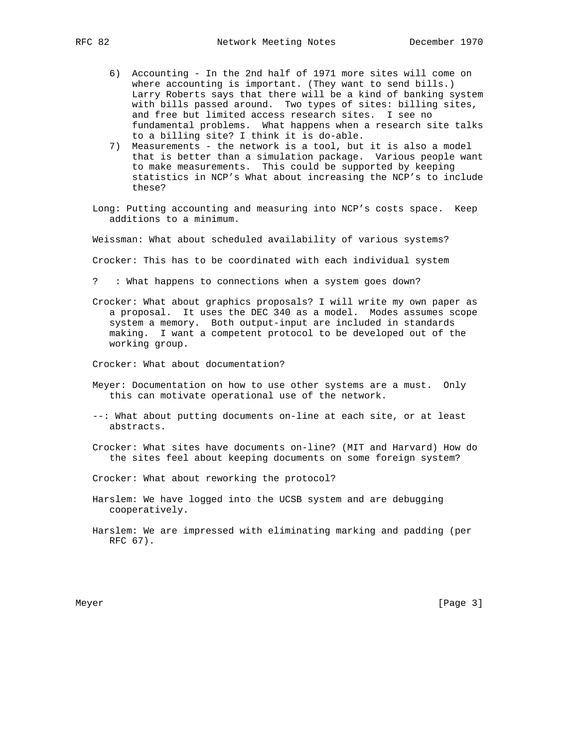- 6) Accounting In the 2nd half of 1971 more sites will come on where accounting is important. (They want to send bills.) Larry Roberts says that there will be a kind of banking system with bills passed around. Two types of sites: billing sites, and free but limited access research sites. I see no fundamental problems. What happens when a research site talks to a billing site? I think it is do-able.
- 7) Measurements the network is a tool, but it is also a model that is better than a simulation package. Various people want to make measurements. This could be supported by keeping statistics in NCP's What about increasing the NCP's to include these?
- Long: Putting accounting and measuring into NCP's costs space. Keep additions to a minimum.

Weissman: What about scheduled availability of various systems?

Crocker: This has to be coordinated with each individual system

? : What happens to connections when a system goes down?

 Crocker: What about graphics proposals? I will write my own paper as a proposal. It uses the DEC 340 as a model. Modes assumes scope system a memory. Both output-input are included in standards making. I want a competent protocol to be developed out of the working group.

Crocker: What about documentation?

- Meyer: Documentation on how to use other systems are a must. Only this can motivate operational use of the network.
- --: What about putting documents on-line at each site, or at least abstracts.
- Crocker: What sites have documents on-line? (MIT and Harvard) How do the sites feel about keeping documents on some foreign system?
- Crocker: What about reworking the protocol?
- Harslem: We have logged into the UCSB system and are debugging cooperatively.
- Harslem: We are impressed with eliminating marking and padding (per RFC 67).

Meyer [Page 3] New York 1992 State 1, 1992 State 1, 1992 State 1, 1992 State 1, 1992 State 1, 1992 State 1, 19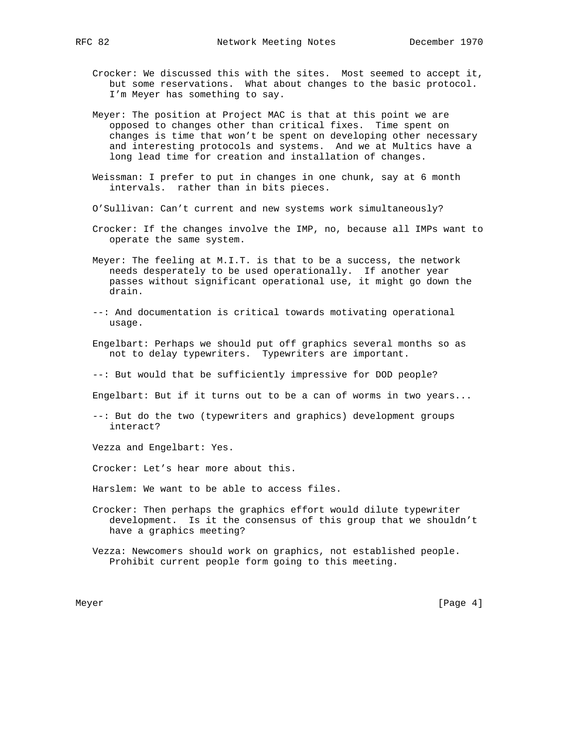- Crocker: We discussed this with the sites. Most seemed to accept it, but some reservations. What about changes to the basic protocol. I'm Meyer has something to say.
- Meyer: The position at Project MAC is that at this point we are opposed to changes other than critical fixes. Time spent on changes is time that won't be spent on developing other necessary and interesting protocols and systems. And we at Multics have a long lead time for creation and installation of changes.
- Weissman: I prefer to put in changes in one chunk, say at 6 month intervals. rather than in bits pieces.
- O'Sullivan: Can't current and new systems work simultaneously?
- Crocker: If the changes involve the IMP, no, because all IMPs want to operate the same system.
- Meyer: The feeling at M.I.T. is that to be a success, the network needs desperately to be used operationally. If another year passes without significant operational use, it might go down the drain.
- --: And documentation is critical towards motivating operational usage.
- Engelbart: Perhaps we should put off graphics several months so as not to delay typewriters. Typewriters are important.
- --: But would that be sufficiently impressive for DOD people?

Engelbart: But if it turns out to be a can of worms in two years...

 --: But do the two (typewriters and graphics) development groups interact?

Vezza and Engelbart: Yes.

Crocker: Let's hear more about this.

- Harslem: We want to be able to access files.
- Crocker: Then perhaps the graphics effort would dilute typewriter development. Is it the consensus of this group that we shouldn't have a graphics meeting?
- Vezza: Newcomers should work on graphics, not established people. Prohibit current people form going to this meeting.

Meyer [Page 4] [Page 4] [Page 4] [Page 4] [Page 4] [Page 4] [Page 4] [Page 4] [Page 4] [Page 4] [Page 4] [Page 4] [Page 4] [Page 4] [Page 4] [Page 4] [Page 4] [Page 4] [Page 4] [Page 4] [Page 4] [Page 4] [Page 4] [Page 4]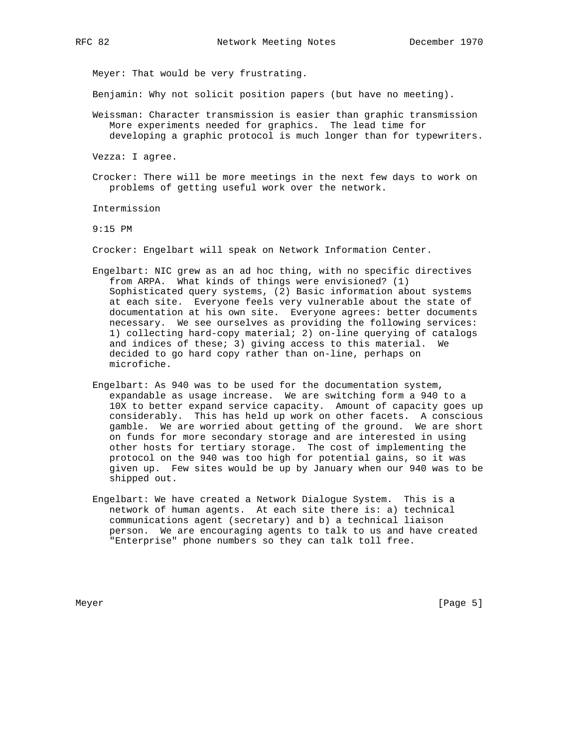Meyer: That would be very frustrating.

Benjamin: Why not solicit position papers (but have no meeting).

- Weissman: Character transmission is easier than graphic transmission More experiments needed for graphics. The lead time for developing a graphic protocol is much longer than for typewriters.
- Vezza: I agree.
- Crocker: There will be more meetings in the next few days to work on problems of getting useful work over the network.

Intermission

9:15 PM

Crocker: Engelbart will speak on Network Information Center.

- Engelbart: NIC grew as an ad hoc thing, with no specific directives from ARPA. What kinds of things were envisioned? (1) Sophisticated query systems, (2) Basic information about systems at each site. Everyone feels very vulnerable about the state of documentation at his own site. Everyone agrees: better documents necessary. We see ourselves as providing the following services: 1) collecting hard-copy material; 2) on-line querying of catalogs and indices of these; 3) giving access to this material. We decided to go hard copy rather than on-line, perhaps on microfiche.
- Engelbart: As 940 was to be used for the documentation system, expandable as usage increase. We are switching form a 940 to a 10X to better expand service capacity. Amount of capacity goes up considerably. This has held up work on other facets. A conscious gamble. We are worried about getting of the ground. We are short on funds for more secondary storage and are interested in using other hosts for tertiary storage. The cost of implementing the protocol on the 940 was too high for potential gains, so it was given up. Few sites would be up by January when our 940 was to be shipped out.
- Engelbart: We have created a Network Dialogue System. This is a network of human agents. At each site there is: a) technical communications agent (secretary) and b) a technical liaison person. We are encouraging agents to talk to us and have created "Enterprise" phone numbers so they can talk toll free.

Meyer [Page 5] [Page 5] [Page 5] [Page 5] [Page 5] [Page 5] [Page 5] [Page 5] [Page 5] [Page 5] [Page 5] [Page 5] [Page 5] [Page 5] [Page 5] [Page 5] [Page 5] [Page 5] [Page 5] [Page 5] [Page 5] [Page 5] [Page 5] [Page 5]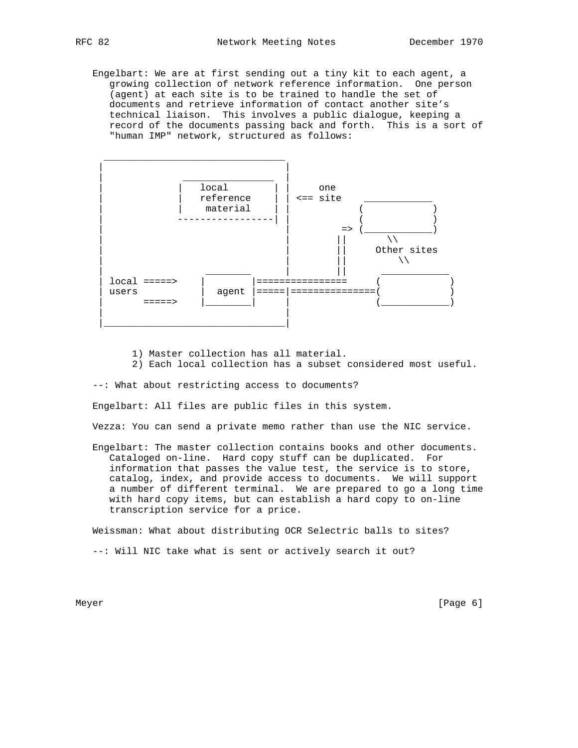Engelbart: We are at first sending out a tiny kit to each agent, a growing collection of network reference information. One person (agent) at each site is to be trained to handle the set of documents and retrieve information of contact another site's technical liaison. This involves a public dialogue, keeping a record of the documents passing back and forth. This is a sort of "human IMP" network, structured as follows:



1) Master collection has all material.

2) Each local collection has a subset considered most useful.

--: What about restricting access to documents?

Engelbart: All files are public files in this system.

Vezza: You can send a private memo rather than use the NIC service.

 Engelbart: The master collection contains books and other documents. Cataloged on-line. Hard copy stuff can be duplicated. For information that passes the value test, the service is to store, catalog, index, and provide access to documents. We will support a number of different terminal. We are prepared to go a long time with hard copy items, but can establish a hard copy to on-line transcription service for a price.

 Weissman: What about distributing OCR Selectric balls to sites? --: Will NIC take what is sent or actively search it out?

Meyer [Page 6]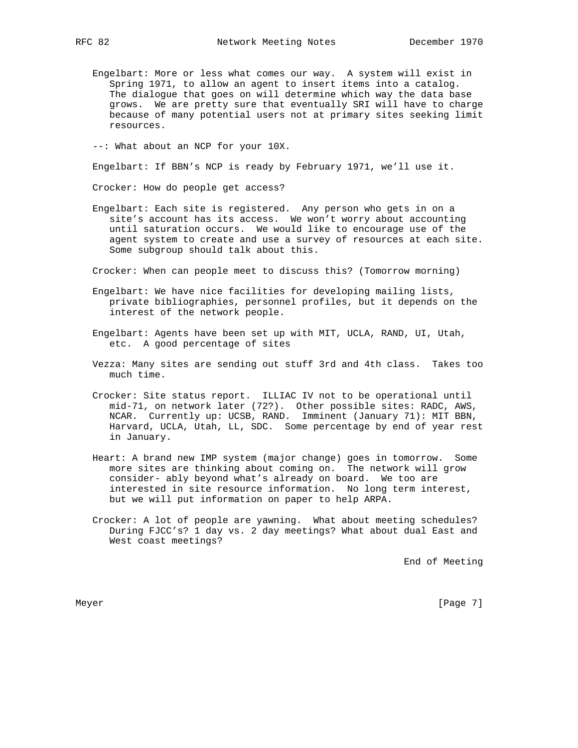Engelbart: More or less what comes our way. A system will exist in Spring 1971, to allow an agent to insert items into a catalog. The dialogue that goes on will determine which way the data base grows. We are pretty sure that eventually SRI will have to charge because of many potential users not at primary sites seeking limit resources.

--: What about an NCP for your 10X.

Engelbart: If BBN's NCP is ready by February 1971, we'll use it.

Crocker: How do people get access?

 Engelbart: Each site is registered. Any person who gets in on a site's account has its access. We won't worry about accounting until saturation occurs. We would like to encourage use of the agent system to create and use a survey of resources at each site. Some subgroup should talk about this.

Crocker: When can people meet to discuss this? (Tomorrow morning)

- Engelbart: We have nice facilities for developing mailing lists, private bibliographies, personnel profiles, but it depends on the interest of the network people.
- Engelbart: Agents have been set up with MIT, UCLA, RAND, UI, Utah, etc. A good percentage of sites
- Vezza: Many sites are sending out stuff 3rd and 4th class. Takes too much time.
- Crocker: Site status report. ILLIAC IV not to be operational until mid-71, on network later (72?). Other possible sites: RADC, AWS, NCAR. Currently up: UCSB, RAND. Imminent (January 71): MIT BBN, Harvard, UCLA, Utah, LL, SDC. Some percentage by end of year rest in January.
- Heart: A brand new IMP system (major change) goes in tomorrow. Some more sites are thinking about coming on. The network will grow consider- ably beyond what's already on board. We too are interested in site resource information. No long term interest, but we will put information on paper to help ARPA.
- Crocker: A lot of people are yawning. What about meeting schedules? During FJCC's? 1 day vs. 2 day meetings? What about dual East and West coast meetings?

End of Meeting

Meyer [Page 7] New York 1992 State 1, 2012 State 1, 2013 State 1, 2014 State 1, 2014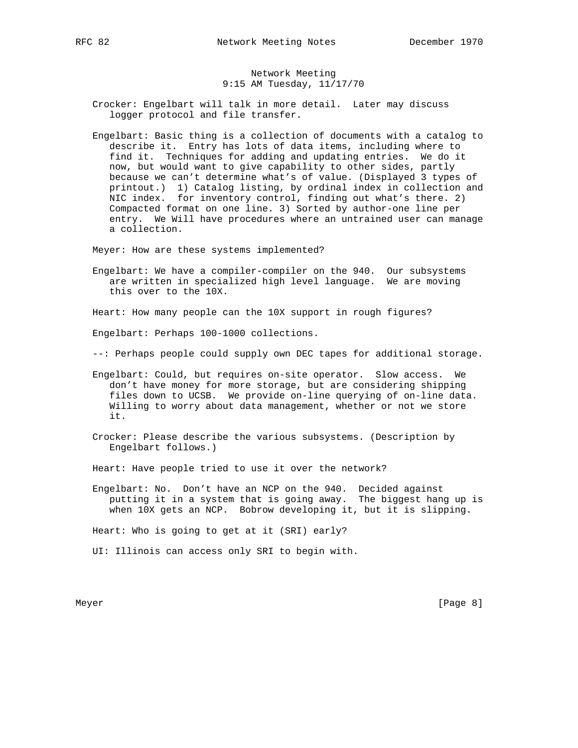## Network Meeting 9:15 AM Tuesday, 11/17/70

 Crocker: Engelbart will talk in more detail. Later may discuss logger protocol and file transfer.

 Engelbart: Basic thing is a collection of documents with a catalog to describe it. Entry has lots of data items, including where to find it. Techniques for adding and updating entries. We do it now, but would want to give capability to other sides, partly because we can't determine what's of value. (Displayed 3 types of printout.) 1) Catalog listing, by ordinal index in collection and NIC index. for inventory control, finding out what's there. 2) Compacted format on one line. 3) Sorted by author-one line per entry. We Will have procedures where an untrained user can manage a collection.

Meyer: How are these systems implemented?

 Engelbart: We have a compiler-compiler on the 940. Our subsystems are written in specialized high level language. We are moving this over to the 10X.

Heart: How many people can the 10X support in rough figures?

Engelbart: Perhaps 100-1000 collections.

--: Perhaps people could supply own DEC tapes for additional storage.

 Engelbart: Could, but requires on-site operator. Slow access. We don't have money for more storage, but are considering shipping files down to UCSB. We provide on-line querying of on-line data. Willing to worry about data management, whether or not we store it.

 Crocker: Please describe the various subsystems. (Description by Engelbart follows.)

Heart: Have people tried to use it over the network?

 Engelbart: No. Don't have an NCP on the 940. Decided against putting it in a system that is going away. The biggest hang up is when 10X gets an NCP. Bobrow developing it, but it is slipping.

Heart: Who is going to get at it (SRI) early?

UI: Illinois can access only SRI to begin with.

Meyer [Page 8]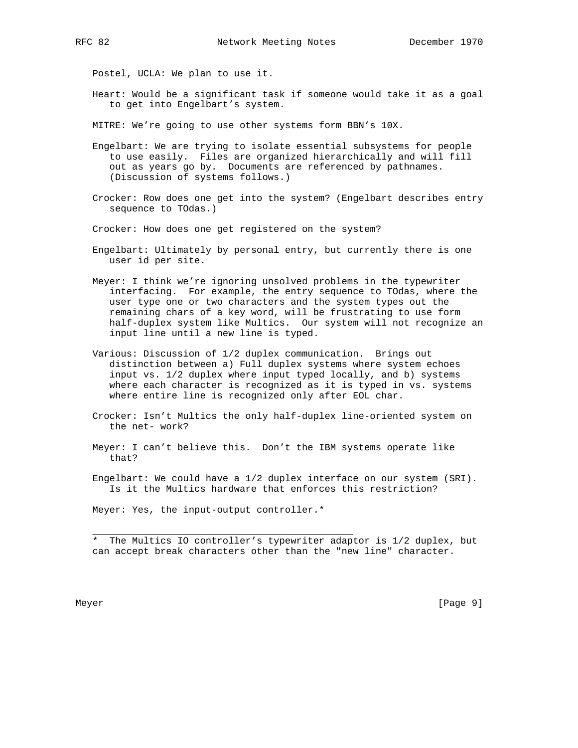Postel, UCLA: We plan to use it.

- Heart: Would be a significant task if someone would take it as a goal to get into Engelbart's system.
- MITRE: We're going to use other systems form BBN's 10X.
- Engelbart: We are trying to isolate essential subsystems for people to use easily. Files are organized hierarchically and will fill out as years go by. Documents are referenced by pathnames. (Discussion of systems follows.)
- Crocker: Row does one get into the system? (Engelbart describes entry sequence to TOdas.)

Crocker: How does one get registered on the system?

- Engelbart: Ultimately by personal entry, but currently there is one user id per site.
- Meyer: I think we're ignoring unsolved problems in the typewriter interfacing. For example, the entry sequence to TOdas, where the user type one or two characters and the system types out the remaining chars of a key word, will be frustrating to use form half-duplex system like Multics. Our system will not recognize an input line until a new line is typed.
- Various: Discussion of 1/2 duplex communication. Brings out distinction between a) Full duplex systems where system echoes input vs. 1/2 duplex where input typed locally, and b) systems where each character is recognized as it is typed in vs. systems where entire line is recognized only after EOL char.
- Crocker: Isn't Multics the only half-duplex line-oriented system on the net- work?
- Meyer: I can't believe this. Don't the IBM systems operate like that?
- Engelbart: We could have a 1/2 duplex interface on our system (SRI). Is it the Multics hardware that enforces this restriction?

Meyer: Yes, the input-output controller.\*

 $\overline{\phantom{a}}$  , and the contribution of the contribution of  $\overline{\phantom{a}}$  , and  $\overline{\phantom{a}}$  , and  $\overline{\phantom{a}}$  , and  $\overline{\phantom{a}}$  , and  $\overline{\phantom{a}}$  , and  $\overline{\phantom{a}}$  , and  $\overline{\phantom{a}}$  , and  $\overline{\phantom{a}}$  , and  $\overline{\phantom{a}}$  , and

 \* The Multics IO controller's typewriter adaptor is 1/2 duplex, but can accept break characters other than the "new line" character.

Meyer [Page 9] [Page 9] [Page 9] [Page 9] [Page 9] [Page 9] [Page 9] [Page 9] [Page 9] [Page 9] [Page 9] [Page 9] [Page 9] [Page 9] [Page 9] [Page 9] [Page 9] [Page 9] [Page 9] [Page 9] [Page 9] [Page 9] [Page 9] [Page 9]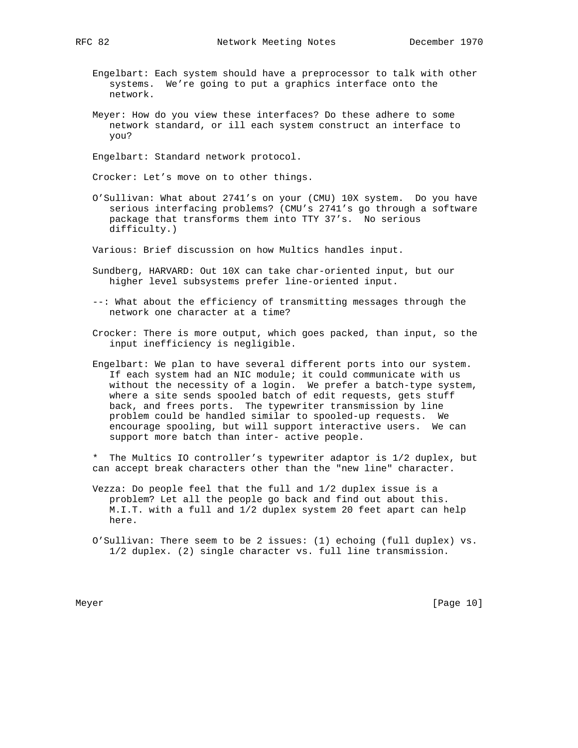- Engelbart: Each system should have a preprocessor to talk with other systems. We're going to put a graphics interface onto the network.
- Meyer: How do you view these interfaces? Do these adhere to some network standard, or ill each system construct an interface to you?

Engelbart: Standard network protocol.

Crocker: Let's move on to other things.

 O'Sullivan: What about 2741's on your (CMU) 10X system. Do you have serious interfacing problems? (CMU's 2741's go through a software package that transforms them into TTY 37's. No serious difficulty.)

Various: Brief discussion on how Multics handles input.

- Sundberg, HARVARD: Out 10X can take char-oriented input, but our higher level subsystems prefer line-oriented input.
- --: What about the efficiency of transmitting messages through the network one character at a time?
- Crocker: There is more output, which goes packed, than input, so the input inefficiency is negligible.
- Engelbart: We plan to have several different ports into our system. If each system had an NIC module; it could communicate with us without the necessity of a login. We prefer a batch-type system, where a site sends spooled batch of edit requests, gets stuff back, and frees ports. The typewriter transmission by line problem could be handled similar to spooled-up requests. We encourage spooling, but will support interactive users. We can support more batch than inter- active people.
- \* The Multics IO controller's typewriter adaptor is 1/2 duplex, but can accept break characters other than the "new line" character.
- Vezza: Do people feel that the full and 1/2 duplex issue is a problem? Let all the people go back and find out about this. M.I.T. with a full and 1/2 duplex system 20 feet apart can help here.
- O'Sullivan: There seem to be 2 issues: (1) echoing (full duplex) vs. 1/2 duplex. (2) single character vs. full line transmission.

Meyer [Page 10]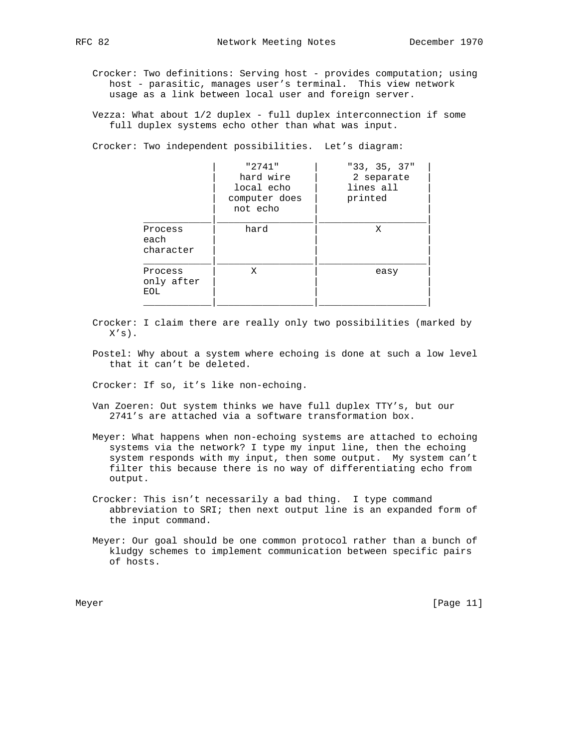Crocker: Two definitions: Serving host - provides computation; using host - parasitic, manages user's terminal. This view network usage as a link between local user and foreign server.

 Vezza: What about 1/2 duplex - full duplex interconnection if some full duplex systems echo other than what was input.

Crocker: Two independent possibilities. Let's diagram:

| lines all<br>printed |
|----------------------|
| Χ                    |
| easy                 |
|                      |

- Crocker: I claim there are really only two possibilities (marked by  $X'S$ ).
- Postel: Why about a system where echoing is done at such a low level that it can't be deleted.

Crocker: If so, it's like non-echoing.

- Van Zoeren: Out system thinks we have full duplex TTY's, but our 2741's are attached via a software transformation box.
- Meyer: What happens when non-echoing systems are attached to echoing systems via the network? I type my input line, then the echoing system responds with my input, then some output. My system can't filter this because there is no way of differentiating echo from output.
- Crocker: This isn't necessarily a bad thing. I type command abbreviation to SRI; then next output line is an expanded form of the input command.
- Meyer: Our goal should be one common protocol rather than a bunch of kludgy schemes to implement communication between specific pairs of hosts.

Meyer [Page 11]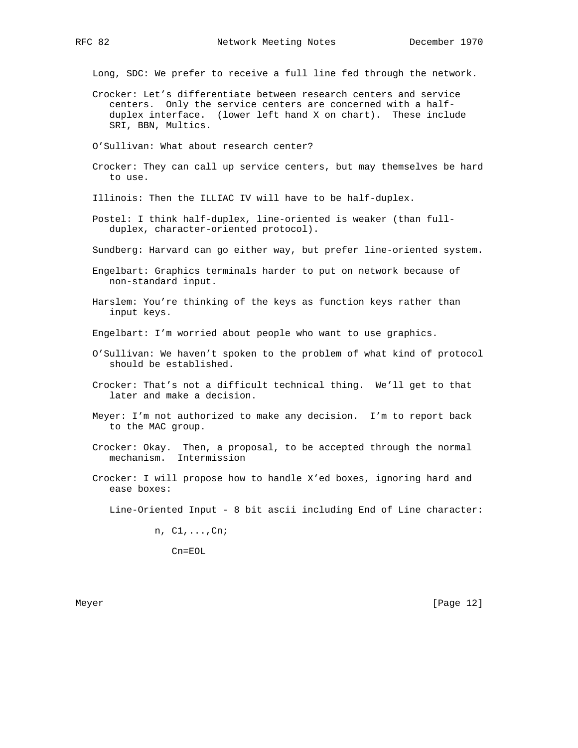Long, SDC: We prefer to receive a full line fed through the network.

 Crocker: Let's differentiate between research centers and service centers. Only the service centers are concerned with a half duplex interface. (lower left hand X on chart). These include SRI, BBN, Multics.

O'Sullivan: What about research center?

 Crocker: They can call up service centers, but may themselves be hard to use.

Illinois: Then the ILLIAC IV will have to be half-duplex.

- Postel: I think half-duplex, line-oriented is weaker (than full duplex, character-oriented protocol).
- Sundberg: Harvard can go either way, but prefer line-oriented system.
- Engelbart: Graphics terminals harder to put on network because of non-standard input.
- Harslem: You're thinking of the keys as function keys rather than input keys.

Engelbart: I'm worried about people who want to use graphics.

- O'Sullivan: We haven't spoken to the problem of what kind of protocol should be established.
- Crocker: That's not a difficult technical thing. We'll get to that later and make a decision.
- Meyer: I'm not authorized to make any decision. I'm to report back to the MAC group.
- Crocker: Okay. Then, a proposal, to be accepted through the normal mechanism. Intermission
- Crocker: I will propose how to handle X'ed boxes, ignoring hard and ease boxes:

Line-Oriented Input - 8 bit ascii including End of Line character:

n, C1,...,Cn;

Cn=EOL

Meyer [Page 12]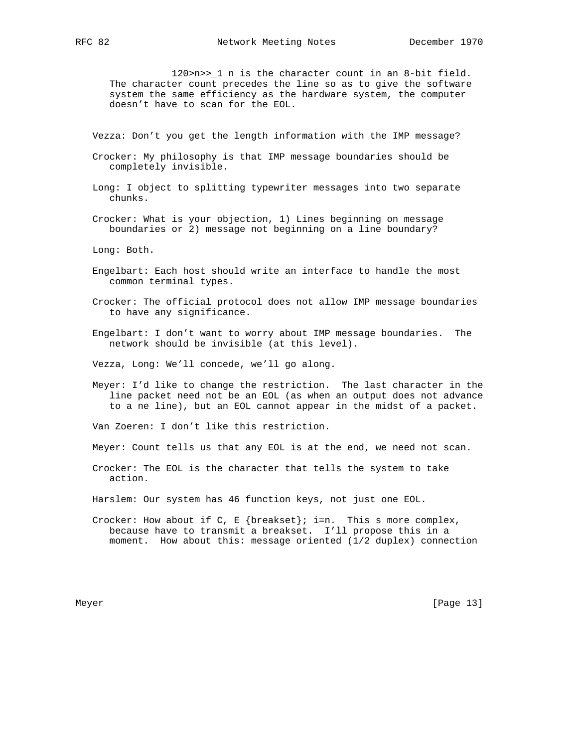120>n>>\_1 n is the character count in an 8-bit field. The character count precedes the line so as to give the software system the same efficiency as the hardware system, the computer doesn't have to scan for the EOL.

Vezza: Don't you get the length information with the IMP message?

- Crocker: My philosophy is that IMP message boundaries should be completely invisible.
- Long: I object to splitting typewriter messages into two separate chunks.

 Crocker: What is your objection, 1) Lines beginning on message boundaries or 2) message not beginning on a line boundary?

Long: Both.

- Engelbart: Each host should write an interface to handle the most common terminal types.
- Crocker: The official protocol does not allow IMP message boundaries to have any significance.
- Engelbart: I don't want to worry about IMP message boundaries. The network should be invisible (at this level).

Vezza, Long: We'll concede, we'll go along.

 Meyer: I'd like to change the restriction. The last character in the line packet need not be an EOL (as when an output does not advance to a ne line), but an EOL cannot appear in the midst of a packet.

Van Zoeren: I don't like this restriction.

Meyer: Count tells us that any EOL is at the end, we need not scan.

 Crocker: The EOL is the character that tells the system to take action.

Harslem: Our system has 46 function keys, not just one EOL.

Crocker: How about if C, E {breakset}; i=n. This s more complex, because have to transmit a breakset. I'll propose this in a moment. How about this: message oriented (1/2 duplex) connection

Meyer [Page 13]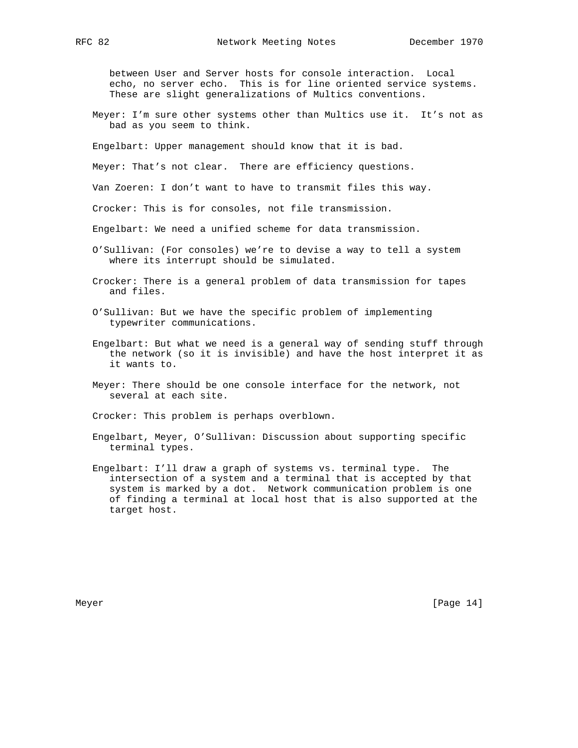between User and Server hosts for console interaction. Local echo, no server echo. This is for line oriented service systems. These are slight generalizations of Multics conventions.

 Meyer: I'm sure other systems other than Multics use it. It's not as bad as you seem to think.

Engelbart: Upper management should know that it is bad.

Meyer: That's not clear. There are efficiency questions.

Van Zoeren: I don't want to have to transmit files this way.

Crocker: This is for consoles, not file transmission.

Engelbart: We need a unified scheme for data transmission.

- O'Sullivan: (For consoles) we're to devise a way to tell a system where its interrupt should be simulated.
- Crocker: There is a general problem of data transmission for tapes and files.
- O'Sullivan: But we have the specific problem of implementing typewriter communications.
- Engelbart: But what we need is a general way of sending stuff through the network (so it is invisible) and have the host interpret it as it wants to.
- Meyer: There should be one console interface for the network, not several at each site.

Crocker: This problem is perhaps overblown.

- Engelbart, Meyer, O'Sullivan: Discussion about supporting specific terminal types.
- Engelbart: I'll draw a graph of systems vs. terminal type. The intersection of a system and a terminal that is accepted by that system is marked by a dot. Network communication problem is one of finding a terminal at local host that is also supported at the target host.

Meyer [Page 14]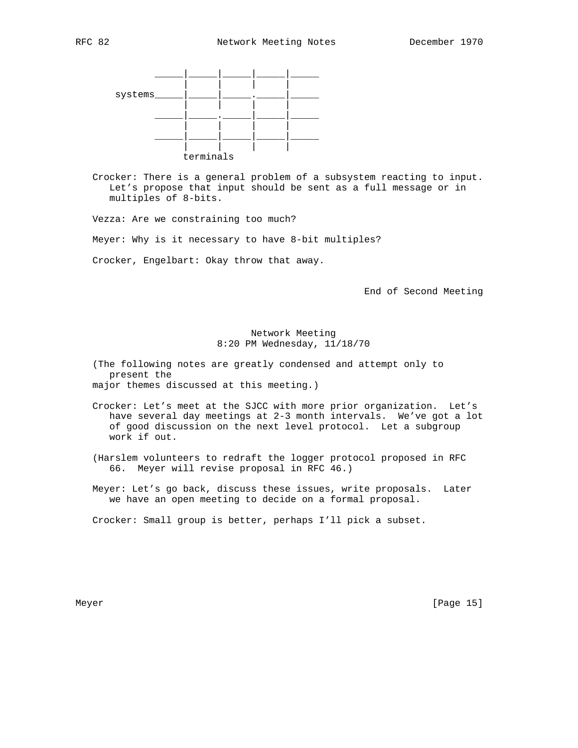

 Crocker: There is a general problem of a subsystem reacting to input. Let's propose that input should be sent as a full message or in multiples of 8-bits.

Vezza: Are we constraining too much?

Meyer: Why is it necessary to have 8-bit multiples?

Crocker, Engelbart: Okay throw that away.

End of Second Meeting

## Network Meeting 8:20 PM Wednesday, 11/18/70

 (The following notes are greatly condensed and attempt only to present the major themes discussed at this meeting.)

- Crocker: Let's meet at the SJCC with more prior organization. Let's have several day meetings at 2-3 month intervals. We've got a lot of good discussion on the next level protocol. Let a subgroup work if out.
- (Harslem volunteers to redraft the logger protocol proposed in RFC 66. Meyer will revise proposal in RFC 46.)
- Meyer: Let's go back, discuss these issues, write proposals. Later we have an open meeting to decide on a formal proposal.

Crocker: Small group is better, perhaps I'll pick a subset.

Meyer [Page 15]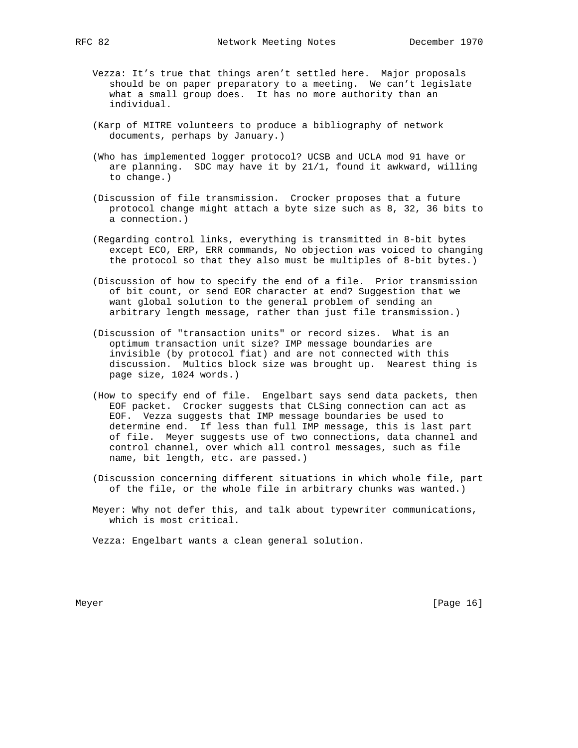- Vezza: It's true that things aren't settled here. Major proposals should be on paper preparatory to a meeting. We can't legislate what a small group does. It has no more authority than an individual.
- (Karp of MITRE volunteers to produce a bibliography of network documents, perhaps by January.)
- (Who has implemented logger protocol? UCSB and UCLA mod 91 have or are planning. SDC may have it by 21/1, found it awkward, willing to change.)
- (Discussion of file transmission. Crocker proposes that a future protocol change might attach a byte size such as 8, 32, 36 bits to a connection.)
- (Regarding control links, everything is transmitted in 8-bit bytes except ECO, ERP, ERR commands, No objection was voiced to changing the protocol so that they also must be multiples of 8-bit bytes.)
- (Discussion of how to specify the end of a file. Prior transmission of bit count, or send EOR character at end? Suggestion that we want global solution to the general problem of sending an arbitrary length message, rather than just file transmission.)
- (Discussion of "transaction units" or record sizes. What is an optimum transaction unit size? IMP message boundaries are invisible (by protocol fiat) and are not connected with this discussion. Multics block size was brought up. Nearest thing is page size, 1024 words.)
- (How to specify end of file. Engelbart says send data packets, then EOF packet. Crocker suggests that CLSing connection can act as EOF. Vezza suggests that IMP message boundaries be used to determine end. If less than full IMP message, this is last part of file. Meyer suggests use of two connections, data channel and control channel, over which all control messages, such as file name, bit length, etc. are passed.)
- (Discussion concerning different situations in which whole file, part of the file, or the whole file in arbitrary chunks was wanted.)
- Meyer: Why not defer this, and talk about typewriter communications, which is most critical.

Vezza: Engelbart wants a clean general solution.

Meyer [Page 16]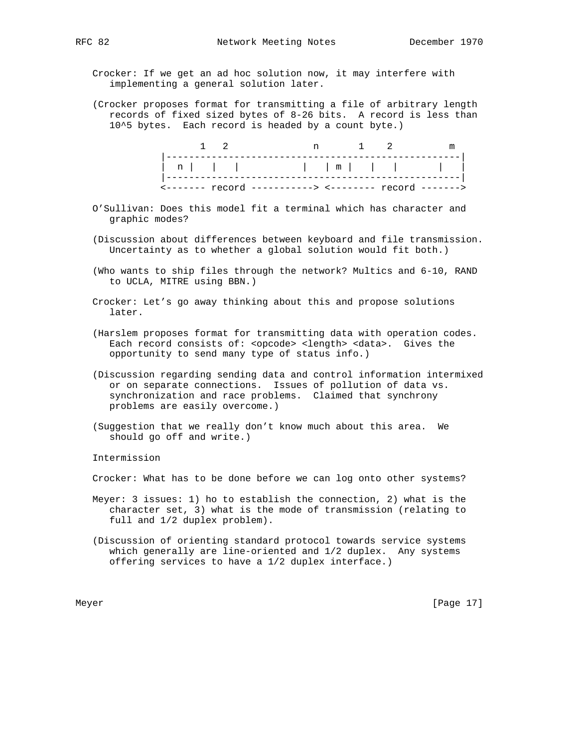Crocker: If we get an ad hoc solution now, it may interfere with implementing a general solution later.

 (Crocker proposes format for transmitting a file of arbitrary length records of fixed sized bytes of 8-26 bits. A record is less than 10^5 bytes. Each record is headed by a count byte.)

|  |  | $\leftarrow$ ------- $\leftarrow$ $\leftarrow$ $\leftarrow$ ----------> $\leftarrow$ $\leftarrow$ -------- $\leftarrow$ $\leftarrow$ $\leftarrow$ |  |  |
|--|--|---------------------------------------------------------------------------------------------------------------------------------------------------|--|--|

- O'Sullivan: Does this model fit a terminal which has character and graphic modes?
- (Discussion about differences between keyboard and file transmission. Uncertainty as to whether a global solution would fit both.)
- (Who wants to ship files through the network? Multics and 6-10, RAND to UCLA, MITRE using BBN.)
- Crocker: Let's go away thinking about this and propose solutions later.
- (Harslem proposes format for transmitting data with operation codes. Each record consists of: <opcode> <length> <data>. Gives the opportunity to send many type of status info.)
- (Discussion regarding sending data and control information intermixed or on separate connections. Issues of pollution of data vs. synchronization and race problems. Claimed that synchrony problems are easily overcome.)
- (Suggestion that we really don't know much about this area. We should go off and write.)

Intermission

Crocker: What has to be done before we can log onto other systems?

- Meyer: 3 issues: 1) ho to establish the connection, 2) what is the character set, 3) what is the mode of transmission (relating to full and 1/2 duplex problem).
- (Discussion of orienting standard protocol towards service systems which generally are line-oriented and 1/2 duplex. Any systems offering services to have a 1/2 duplex interface.)

Meyer [Page 17]